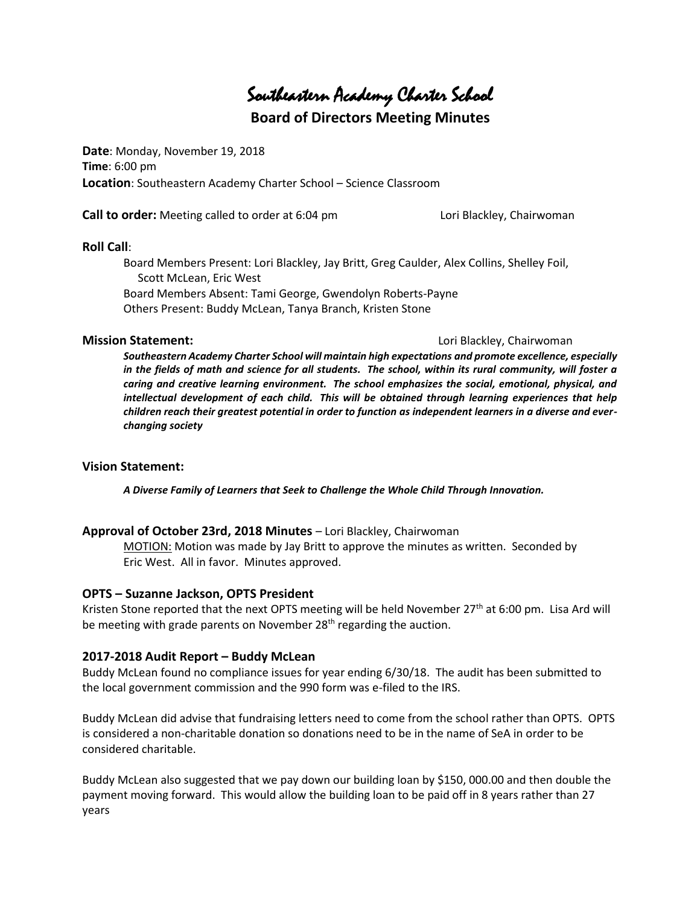Southeastern Academy Charter School

# **Board of Directors Meeting Minutes**

**Date**: Monday, November 19, 2018 **Time**: 6:00 pm **Location**: Southeastern Academy Charter School – Science Classroom

**Call to order:** Meeting called to order at 6:04 pm Lori Blackley, Chairwoman

#### **Roll Call**:

Board Members Present: Lori Blackley, Jay Britt, Greg Caulder, Alex Collins, Shelley Foil, Scott McLean, Eric West Board Members Absent: Tami George, Gwendolyn Roberts-Payne Others Present: Buddy McLean, Tanya Branch, Kristen Stone

#### **Mission Statement: Lori Blackley, Chairwoman**

*Southeastern Academy Charter School will maintain high expectations and promote excellence, especially in the fields of math and science for all students. The school, within its rural community, will foster a caring and creative learning environment. The school emphasizes the social, emotional, physical, and intellectual development of each child. This will be obtained through learning experiences that help children reach their greatest potential in order to function as independent learners in a diverse and everchanging society*

## **Vision Statement:**

*A Diverse Family of Learners that Seek to Challenge the Whole Child Through Innovation.*

## **Approval of October 23rd, 2018 Minutes** – Lori Blackley, Chairwoman

MOTION: Motion was made by Jay Britt to approve the minutes as written. Seconded by Eric West. All in favor. Minutes approved.

## **OPTS – Suzanne Jackson, OPTS President**

Kristen Stone reported that the next OPTS meeting will be held November 27<sup>th</sup> at 6:00 pm. Lisa Ard will be meeting with grade parents on November  $28<sup>th</sup>$  regarding the auction.

## **2017-2018 Audit Report – Buddy McLean**

Buddy McLean found no compliance issues for year ending 6/30/18. The audit has been submitted to the local government commission and the 990 form was e-filed to the IRS.

Buddy McLean did advise that fundraising letters need to come from the school rather than OPTS. OPTS is considered a non-charitable donation so donations need to be in the name of SeA in order to be considered charitable.

Buddy McLean also suggested that we pay down our building loan by \$150, 000.00 and then double the payment moving forward. This would allow the building loan to be paid off in 8 years rather than 27 years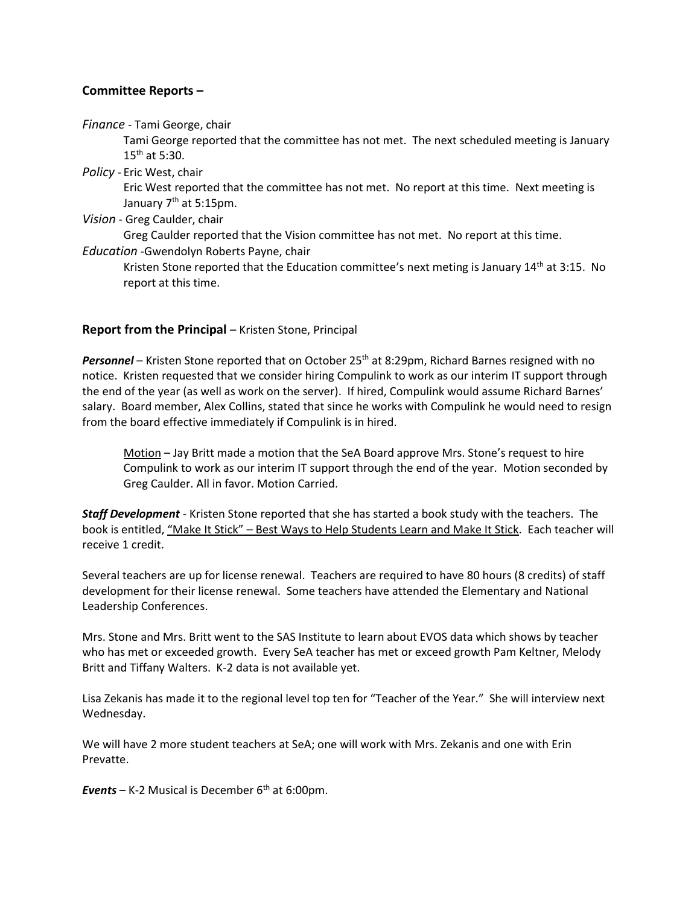# **Committee Reports –**

*Finance* - Tami George, chair

Tami George reported that the committee has not met. The next scheduled meeting is January  $15^{th}$  at 5:30.

*Policy* - Eric West, chair

Eric West reported that the committee has not met. No report at this time. Next meeting is January 7<sup>th</sup> at 5:15pm.

*Vision* - Greg Caulder, chair

Greg Caulder reported that the Vision committee has not met. No report at this time.

*Education* -Gwendolyn Roberts Payne, chair

Kristen Stone reported that the Education committee's next meting is January  $14<sup>th</sup>$  at 3:15. No report at this time.

# **Report from the Principal** – Kristen Stone, Principal

Personnel – Kristen Stone reported that on October 25<sup>th</sup> at 8:29pm, Richard Barnes resigned with no notice. Kristen requested that we consider hiring Compulink to work as our interim IT support through the end of the year (as well as work on the server). If hired, Compulink would assume Richard Barnes' salary. Board member, Alex Collins, stated that since he works with Compulink he would need to resign from the board effective immediately if Compulink is in hired.

Motion - Jay Britt made a motion that the SeA Board approve Mrs. Stone's request to hire Compulink to work as our interim IT support through the end of the year. Motion seconded by Greg Caulder. All in favor. Motion Carried.

*Staff Development* - Kristen Stone reported that she has started a book study with the teachers. The book is entitled, "Make It Stick" – Best Ways to Help Students Learn and Make It Stick. Each teacher will receive 1 credit.

Several teachers are up for license renewal. Teachers are required to have 80 hours (8 credits) of staff development for their license renewal. Some teachers have attended the Elementary and National Leadership Conferences.

Mrs. Stone and Mrs. Britt went to the SAS Institute to learn about EVOS data which shows by teacher who has met or exceeded growth. Every SeA teacher has met or exceed growth Pam Keltner, Melody Britt and Tiffany Walters. K-2 data is not available yet.

Lisa Zekanis has made it to the regional level top ten for "Teacher of the Year." She will interview next Wednesday.

We will have 2 more student teachers at SeA; one will work with Mrs. Zekanis and one with Erin Prevatte.

*Events* – K-2 Musical is December  $6<sup>th</sup>$  at 6:00pm.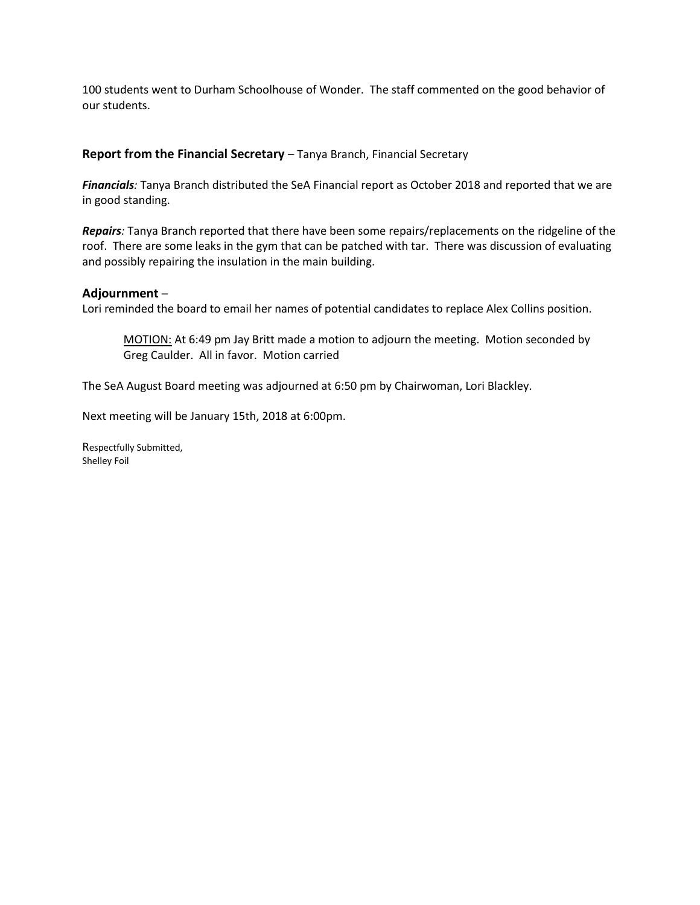100 students went to Durham Schoolhouse of Wonder. The staff commented on the good behavior of our students.

# **Report from the Financial Secretary** – Tanya Branch, Financial Secretary

*Financials:* Tanya Branch distributed the SeA Financial report as October 2018 and reported that we are in good standing.

*Repairs:* Tanya Branch reported that there have been some repairs/replacements on the ridgeline of the roof. There are some leaks in the gym that can be patched with tar. There was discussion of evaluating and possibly repairing the insulation in the main building.

## **Adjournment** –

Lori reminded the board to email her names of potential candidates to replace Alex Collins position.

MOTION: At 6:49 pm Jay Britt made a motion to adjourn the meeting. Motion seconded by Greg Caulder. All in favor. Motion carried

The SeA August Board meeting was adjourned at 6:50 pm by Chairwoman, Lori Blackley.

Next meeting will be January 15th, 2018 at 6:00pm.

Respectfully Submitted, Shelley Foil